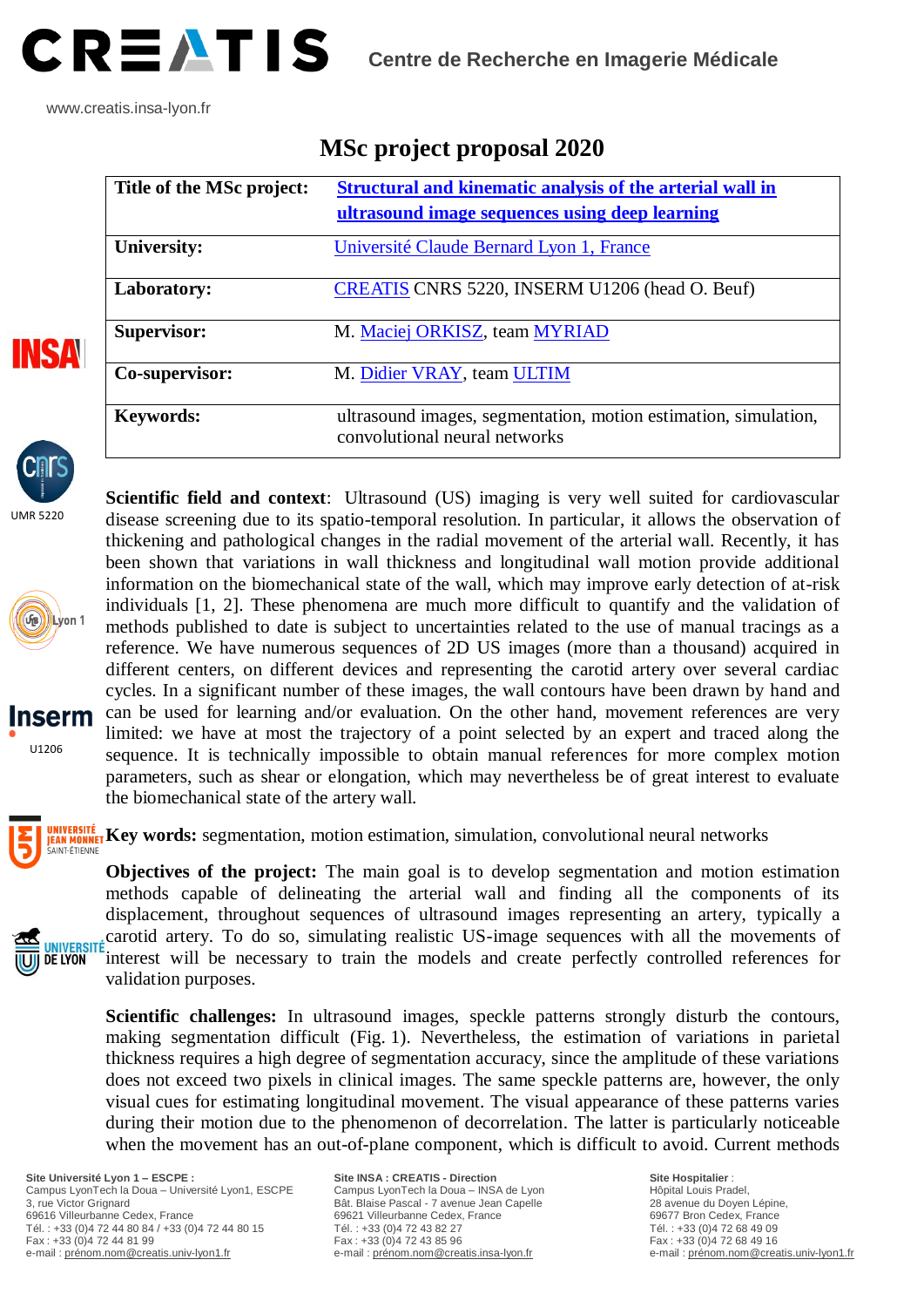

www.creatis.insa-lyon.fr

| Title of the MSc project: | Structural and kinematic analysis of the arterial wall in<br>ultrasound image sequences using deep learning |
|---------------------------|-------------------------------------------------------------------------------------------------------------|
| University:               | Université Claude Bernard Lyon 1, France                                                                    |
| Laboratory:               | CREATIS CNRS 5220, INSERM U1206 (head O. Beuf)                                                              |
| <b>Supervisor:</b>        | M. Maciej ORKISZ, team MYRIAD                                                                               |
| Co-supervisor:            | M. Didier VRAY, team ULTIM                                                                                  |
| <b>Keywords:</b>          | ultrasound images, segmentation, motion estimation, simulation,<br>convolutional neural networks            |

## **MSc project proposal 2020**



**INSA** 

UMR 5220





UNIVERSITÉ **DE LYON** 

disease screening due to its spatio-temporal resolution. In particular, it allows the observation of thickening and pathological changes in the radial movement of the arterial wall. Recently, it has been shown that variations in wall thickness and longitudinal wall motion provide additional information on the biomechanical state of the wall, which may improve early detection of at-risk individuals [1, 2]. These phenomena are much more difficult to quantify and the validation of methods published to date is subject to uncertainties related to the use of manual tracings as a reference. We have numerous sequences of 2D US images (more than a thousand) acquired in different centers, on different devices and representing the carotid artery over several cardiac cycles. In a significant number of these images, the wall contours have been drawn by hand and can be used for learning and/or evaluation. On the other hand, movement references are very limited: we have at most the trajectory of a point selected by an expert and traced along the sequence. It is technically impossible to obtain manual references for more complex motion parameters, such as shear or elongation, which may nevertheless be of great interest to evaluate the biomechanical state of the artery wall.

**Scientific field and context**: Ultrasound (US) imaging is very well suited for cardiovascular

**KEN MONNET Key words:** segmentation, motion estimation, simulation, convolutional neural networks

**Objectives of the project:** The main goal is to develop segmentation and motion estimation methods capable of delineating the arterial wall and finding all the components of its displacement, throughout sequences of ultrasound images representing an artery, typically a carotid artery. To do so, simulating realistic US-image sequences with all the movements of interest will be necessary to train the models and create perfectly controlled references for validation purposes.

**Scientific challenges:** In ultrasound images, speckle patterns strongly disturb the contours, making segmentation difficult (Fig. 1). Nevertheless, the estimation of variations in parietal thickness requires a high degree of segmentation accuracy, since the amplitude of these variations does not exceed two pixels in clinical images. The same speckle patterns are, however, the only visual cues for estimating longitudinal movement. The visual appearance of these patterns varies during their motion due to the phenomenon of decorrelation. The latter is particularly noticeable when the movement has an out-of-plane component, which is difficult to avoid. Current methods

**Site Université Lyon 1 – ESCPE :** Campus LyonTech la Doua – Université Lyon1, ESCPE 3, rue Victor Grignard 69616 Villeurbanne Cedex, France Tél. : +33 (0)4 72 44 80 84 / +33 (0)4 72 44 80 15 Fax : +33 (0)4 72 44 81 99 e-mail [: prénom.nom@creatis.univ-lyon1.fr](mailto:prénom.nom@creatis.univ-lyon1.fr)

**Site INSA : CREATIS - Direction**  Campus LyonTech la Doua – INSA de Lyon Bât. Blaise Pascal - 7 avenue Jean Capelle 69621 Villeurbanne Cedex, France Tél. : +33 (0)4 72 43 82 27 Fax : +33 (0)4 72 43 85 96 e-mail [: prénom.nom@creatis.insa-lyon.fr](mailto:prénom.nom@creatis.insa-lyon.fr)

**Site Hospitalier** : Hôpital Louis Pradel, 28 avenue du Doyen Lépine, 69677 Bron Cedex, France Tél. : +33 (0)4 72 68 49 09 Fax : +33 (0)4 72 68 49 16 e-mail [: prénom.nom@creatis.univ-lyon1.fr](mailto:prénom.nom@creatis.univ-lyon1.fr)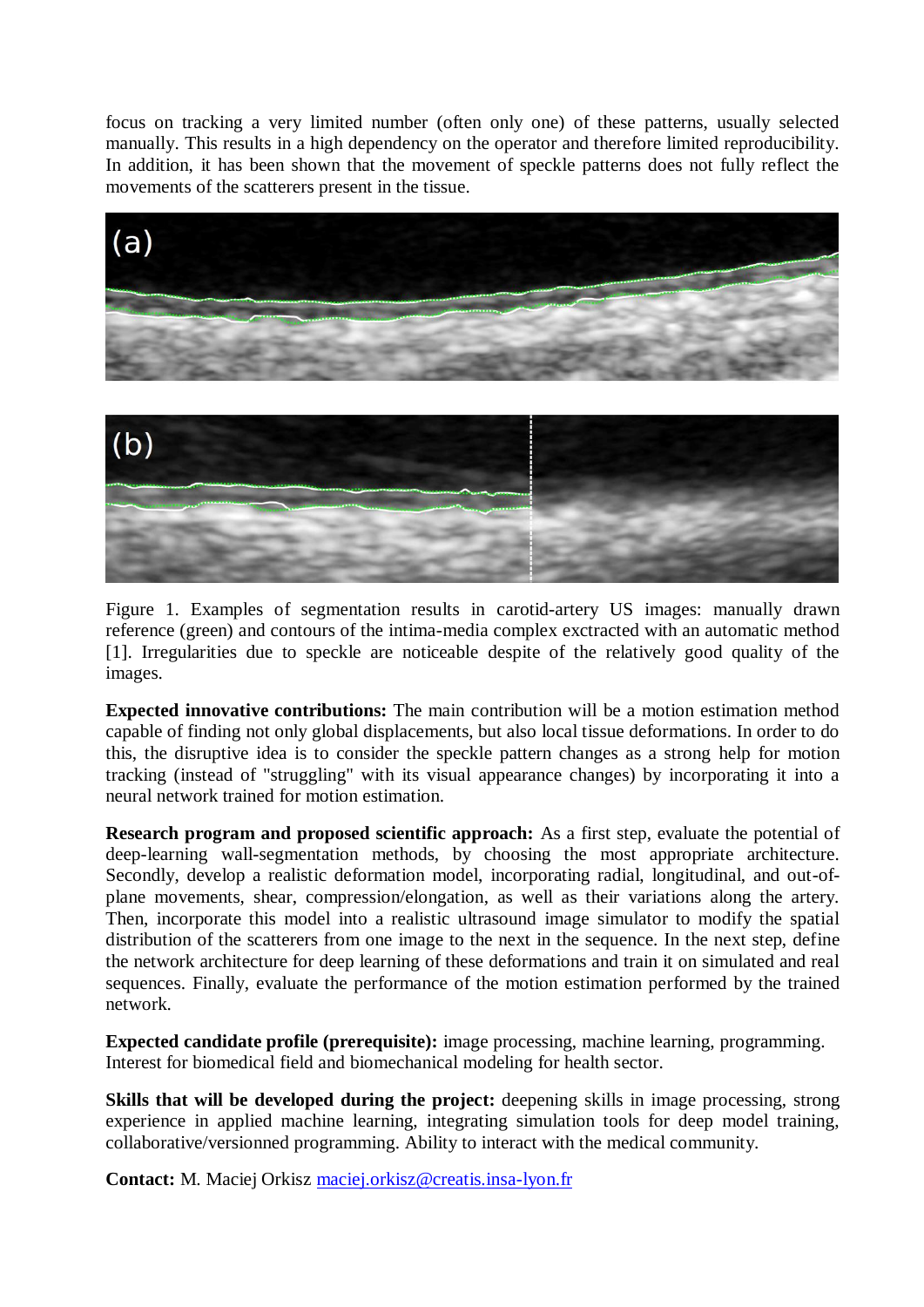focus on tracking a very limited number (often only one) of these patterns, usually selected manually. This results in a high dependency on the operator and therefore limited reproducibility. In addition, it has been shown that the movement of speckle patterns does not fully reflect the movements of the scatterers present in the tissue.





Figure 1. Examples of segmentation results in carotid-artery US images: manually drawn reference (green) and contours of the intima-media complex exctracted with an automatic method [1]. Irregularities due to speckle are noticeable despite of the relatively good quality of the images.

**Expected innovative contributions:** The main contribution will be a motion estimation method capable of finding not only global displacements, but also local tissue deformations. In order to do this, the disruptive idea is to consider the speckle pattern changes as a strong help for motion tracking (instead of "struggling" with its visual appearance changes) by incorporating it into a neural network trained for motion estimation.

**Research program and proposed scientific approach:** As a first step, evaluate the potential of deep-learning wall-segmentation methods, by choosing the most appropriate architecture. Secondly, develop a realistic deformation model, incorporating radial, longitudinal, and out-ofplane movements, shear, compression/elongation, as well as their variations along the artery. Then, incorporate this model into a realistic ultrasound image simulator to modify the spatial distribution of the scatterers from one image to the next in the sequence. In the next step, define the network architecture for deep learning of these deformations and train it on simulated and real sequences. Finally, evaluate the performance of the motion estimation performed by the trained network.

**Expected candidate profile (prerequisite):** image processing, machine learning, programming. Interest for biomedical field and biomechanical modeling for health sector.

**Skills that will be developed during the project:** deepening skills in image processing, strong experience in applied machine learning, integrating simulation tools for deep model training, collaborative/versionned programming. Ability to interact with the medical community.

**Contact:** M. Maciej Orkisz [maciej.orkisz@creatis.insa-lyon.fr](mailto:maciej.orkisz@creatis.insa-lyon.fr)